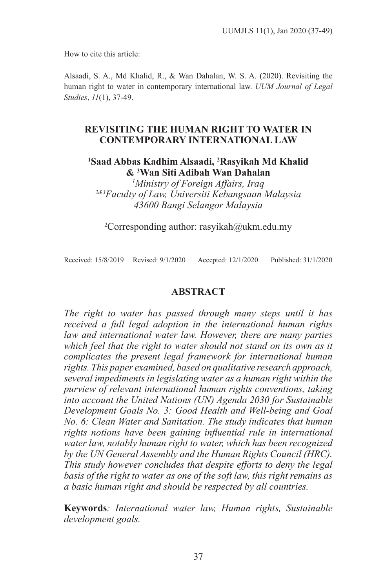How to cite this article:

Alsaadi, S. A., Md Khalid, R., & Wan Dahalan, W. S. A. (2020). Revisiting the human right to water in contemporary international law. *UUM Journal of Legal Studies*, *11*(1), 37-49.

### **REVISITING THE HUMAN RIGHT TO WATER IN CONTEMPORARY INTERNATIONAL LAW**

## **1 Saad Abbas Kadhim Alsaadi, 2 Rasyikah Md Khalid & 3 Wan Siti Adibah Wan Dahalan**

*1 Ministry of Foreign Affairs, Iraq 2&3Faculty of Law, Universiti Kebangsaan Malaysia 43600 Bangi Selangor Malaysia*

2 Corresponding author: rasyikah@ukm.edu.my

Received: 15/8/2019 Revised: 9/1/2020 Accepted: 12/1/2020 Published: 31/1/2020

## **ABSTRACT**

*The right to water has passed through many steps until it has received a full legal adoption in the international human rights*  law and international water law. However, there are many parties *which feel that the right to water should not stand on its own as it complicates the present legal framework for international human rights. This paper examined, based on qualitative research approach, several impediments in legislating water as a human right within the purview of relevant international human rights conventions, taking into account the United Nations (UN) Agenda 2030 for Sustainable Development Goals No. 3: Good Health and Well-being and Goal No. 6: Clean Water and Sanitation. The study indicates that human rights notions have been gaining influential rule in international water law, notably human right to water, which has been recognized by the UN General Assembly and the Human Rights Council (HRC). This study however concludes that despite efforts to deny the legal basis of the right to water as one of the soft law, this right remains as a basic human right and should be respected by all countries.*

**Keywords***: International water law, Human rights, Sustainable development goals.*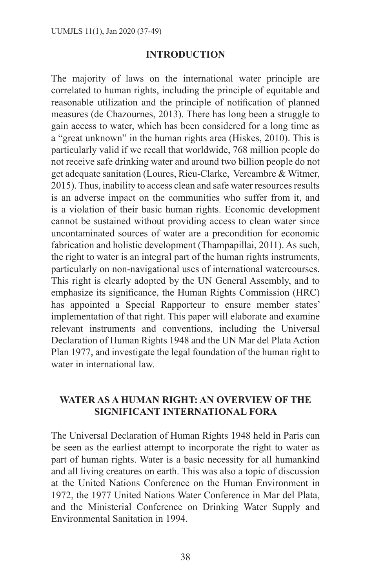### **INTRODUCTION**

The majority of laws on the international water principle are correlated to human rights, including the principle of equitable and reasonable utilization and the principle of notification of planned measures (de Chazournes, 2013). There has long been a struggle to gain access to water, which has been considered for a long time as a "great unknown" in the human rights area (Hiskes, 2010). This is particularly valid if we recall that worldwide, 768 million people do not receive safe drinking water and around two billion people do not get adequate sanitation (Loures, Rieu-Clarke, Vercambre & Witmer, 2015). Thus, inability to access clean and safe water resources results is an adverse impact on the communities who suffer from it, and is a violation of their basic human rights. Economic development cannot be sustained without providing access to clean water since uncontaminated sources of water are a precondition for economic fabrication and holistic development (Thampapillai, 2011). As such, the right to water is an integral part of the human rights instruments, particularly on non-navigational uses of international watercourses. This right is clearly adopted by the UN General Assembly, and to emphasize its significance, the Human Rights Commission (HRC) has appointed a Special Rapporteur to ensure member states' implementation of that right. This paper will elaborate and examine relevant instruments and conventions, including the Universal Declaration of Human Rights 1948 and the UN Mar del Plata Action Plan 1977, and investigate the legal foundation of the human right to water in international law.

## **WATER AS A HUMAN RIGHT: AN OVERVIEW OF THE SIGNIFICANT INTERNATIONAL FORA**

The Universal Declaration of Human Rights 1948 held in Paris can be seen as the earliest attempt to incorporate the right to water as part of human rights. Water is a basic necessity for all humankind and all living creatures on earth. This was also a topic of discussion at the United Nations Conference on the Human Environment in 1972, the 1977 United Nations Water Conference in Mar del Plata, and the Ministerial Conference on Drinking Water Supply and Environmental Sanitation in 1994.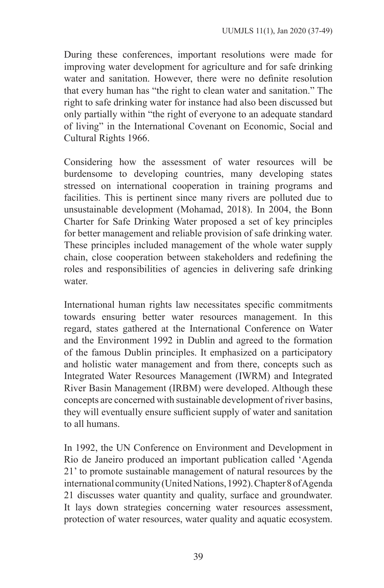During these conferences, important resolutions were made for improving water development for agriculture and for safe drinking water and sanitation. However, there were no definite resolution that every human has "the right to clean water and sanitation." The right to safe drinking water for instance had also been discussed but only partially within "the right of everyone to an adequate standard of living" in the International Covenant on Economic, Social and Cultural Rights 1966.

Considering how the assessment of water resources will be burdensome to developing countries, many developing states stressed on international cooperation in training programs and facilities. This is pertinent since many rivers are polluted due to unsustainable development (Mohamad, 2018). In 2004, the Bonn Charter for Safe Drinking Water proposed a set of key principles for better management and reliable provision of safe drinking water. These principles included management of the whole water supply chain, close cooperation between stakeholders and redefining the roles and responsibilities of agencies in delivering safe drinking water.

International human rights law necessitates specific commitments towards ensuring better water resources management. In this regard, states gathered at the International Conference on Water and the Environment 1992 in Dublin and agreed to the formation of the famous Dublin principles. It emphasized on a participatory and holistic water management and from there, concepts such as Integrated Water Resources Management (IWRM) and Integrated River Basin Management (IRBM) were developed. Although these concepts are concerned with sustainable development of river basins, they will eventually ensure sufficient supply of water and sanitation to all humans.

In 1992, the UN Conference on Environment and Development in Rio de Janeiro produced an important publication called 'Agenda 21' to promote sustainable management of natural resources by the international community (United Nations, 1992). Chapter 8 of Agenda 21 discusses water quantity and quality, surface and groundwater. It lays down strategies concerning water resources assessment, protection of water resources, water quality and aquatic ecosystem.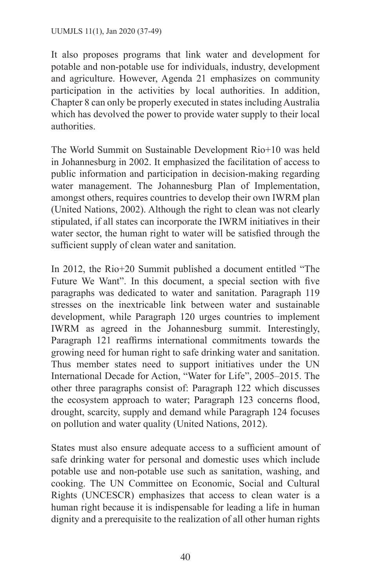It also proposes programs that link water and development for potable and non-potable use for individuals, industry, development and agriculture. However, Agenda 21 emphasizes on community participation in the activities by local authorities. In addition, Chapter 8 can only be properly executed in states including Australia which has devolved the power to provide water supply to their local authorities.

The World Summit on Sustainable Development Rio+10 was held in Johannesburg in 2002. It emphasized the facilitation of access to public information and participation in decision-making regarding water management. The Johannesburg Plan of Implementation, amongst others, requires countries to develop their own IWRM plan (United Nations, 2002). Although the right to clean was not clearly stipulated, if all states can incorporate the IWRM initiatives in their water sector, the human right to water will be satisfied through the sufficient supply of clean water and sanitation.

In 2012, the Rio+20 Summit published a document entitled "The Future We Want". In this document, a special section with five paragraphs was dedicated to water and sanitation. Paragraph 119 stresses on the inextricable link between water and sustainable development, while Paragraph 120 urges countries to implement IWRM as agreed in the Johannesburg summit. Interestingly, Paragraph 121 reaffirms international commitments towards the growing need for human right to safe drinking water and sanitation. Thus member states need to support initiatives under the UN International Decade for Action, "Water for Life", 2005–2015. The other three paragraphs consist of: Paragraph 122 which discusses the ecosystem approach to water; Paragraph 123 concerns flood, drought, scarcity, supply and demand while Paragraph 124 focuses on pollution and water quality (United Nations, 2012).

States must also ensure adequate access to a sufficient amount of safe drinking water for personal and domestic uses which include potable use and non-potable use such as sanitation, washing, and cooking. The UN Committee on Economic, Social and Cultural Rights (UNCESCR) emphasizes that access to clean water is a human right because it is indispensable for leading a life in human dignity and a prerequisite to the realization of all other human rights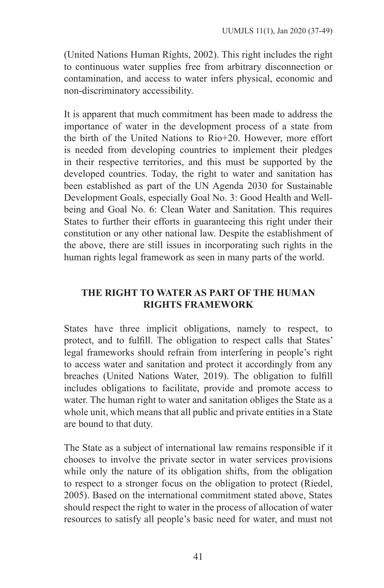(United Nations Human Rights, 2002). This right includes the right to continuous water supplies free from arbitrary disconnection or contamination, and access to water infers physical, economic and non-discriminatory accessibility.

It is apparent that much commitment has been made to address the importance of water in the development process of a state from the birth of the United Nations to Rio+20. However, more effort is needed from developing countries to implement their pledges in their respective territories, and this must be supported by the developed countries. Today, the right to water and sanitation has been established as part of the UN Agenda 2030 for Sustainable Development Goals, especially Goal No. 3: Good Health and Wellbeing and Goal No. 6: Clean Water and Sanitation. This requires States to further their efforts in guaranteeing this right under their constitution or any other national law. Despite the establishment of the above, there are still issues in incorporating such rights in the human rights legal framework as seen in many parts of the world.

# **THE RIGHT TO WATER AS PART OF THE HUMAN RIGHTS FRAMEWORK**

States have three implicit obligations, namely to respect, to protect, and to fulfill. The obligation to respect calls that States' legal frameworks should refrain from interfering in people's right to access water and sanitation and protect it accordingly from any breaches (United Nations Water, 2019). The obligation to fulfill includes obligations to facilitate, provide and promote access to water. The human right to water and sanitation obliges the State as a whole unit, which means that all public and private entities in a State are bound to that duty.

The State as a subject of international law remains responsible if it chooses to involve the private sector in water services provisions while only the nature of its obligation shifts, from the obligation to respect to a stronger focus on the obligation to protect (Riedel, 2005). Based on the international commitment stated above, States should respect the right to water in the process of allocation of water resources to satisfy all people's basic need for water, and must not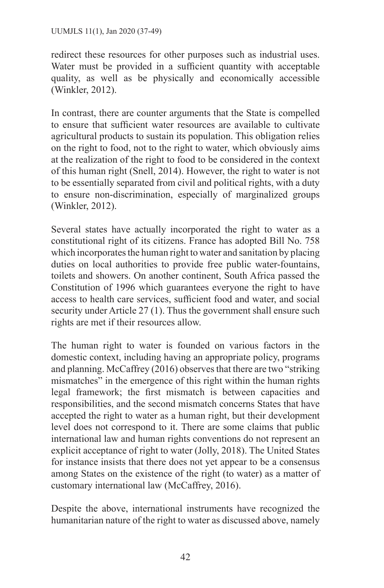redirect these resources for other purposes such as industrial uses. Water must be provided in a sufficient quantity with acceptable quality, as well as be physically and economically accessible (Winkler, 2012).

In contrast, there are counter arguments that the State is compelled to ensure that sufficient water resources are available to cultivate agricultural products to sustain its population. This obligation relies on the right to food, not to the right to water, which obviously aims at the realization of the right to food to be considered in the context of this human right (Snell, 2014). However, the right to water is not to be essentially separated from civil and political rights, with a duty to ensure non-discrimination, especially of marginalized groups (Winkler, 2012).

Several states have actually incorporated the right to water as a constitutional right of its citizens. France has adopted Bill No. 758 which incorporates the human right to water and sanitation by placing duties on local authorities to provide free public water-fountains, toilets and showers. On another continent, South Africa passed the Constitution of 1996 which guarantees everyone the right to have access to health care services, sufficient food and water, and social security under Article 27 (1). Thus the government shall ensure such rights are met if their resources allow.

The human right to water is founded on various factors in the domestic context, including having an appropriate policy, programs and planning. McCaffrey (2016) observes that there are two "striking mismatches" in the emergence of this right within the human rights legal framework; the first mismatch is between capacities and responsibilities, and the second mismatch concerns States that have accepted the right to water as a human right, but their development level does not correspond to it. There are some claims that public international law and human rights conventions do not represent an explicit acceptance of right to water (Jolly, 2018). The United States for instance insists that there does not yet appear to be a consensus among States on the existence of the right (to water) as a matter of customary international law (McCaffrey, 2016).

Despite the above, international instruments have recognized the humanitarian nature of the right to water as discussed above, namely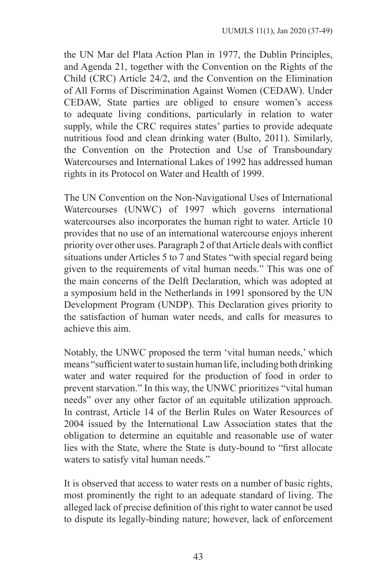the UN Mar del Plata Action Plan in 1977, the Dublin Principles, and Agenda 21, together with the Convention on the Rights of the Child (CRC) Article 24/2, and the Convention on the Elimination of All Forms of Discrimination Against Women (CEDAW). Under CEDAW, State parties are obliged to ensure women's access to adequate living conditions, particularly in relation to water supply, while the CRC requires states' parties to provide adequate nutritious food and clean drinking water (Bulto, 2011). Similarly, the Convention on the Protection and Use of Transboundary Watercourses and International Lakes of 1992 has addressed human rights in its Protocol on Water and Health of 1999.

The UN Convention on the Non-Navigational Uses of International Watercourses (UNWC) of 1997 which governs international watercourses also incorporates the human right to water. Article 10 provides that no use of an international watercourse enjoys inherent priority over other uses. Paragraph 2 of that Article deals with conflict situations under Articles 5 to 7 and States "with special regard being given to the requirements of vital human needs." This was one of the main concerns of the Delft Declaration, which was adopted at a symposium held in the Netherlands in 1991 sponsored by the UN Development Program (UNDP). This Declaration gives priority to the satisfaction of human water needs, and calls for measures to achieve this aim.

Notably, the UNWC proposed the term 'vital human needs,' which means "sufficient water to sustain human life, including both drinking water and water required for the production of food in order to prevent starvation." In this way, the UNWC prioritizes "vital human needs" over any other factor of an equitable utilization approach. In contrast, Article 14 of the Berlin Rules on Water Resources of 2004 issued by the International Law Association states that the obligation to determine an equitable and reasonable use of water lies with the State, where the State is duty-bound to "first allocate waters to satisfy vital human needs."

It is observed that access to water rests on a number of basic rights, most prominently the right to an adequate standard of living. The alleged lack of precise definition of this right to water cannot be used to dispute its legally-binding nature; however, lack of enforcement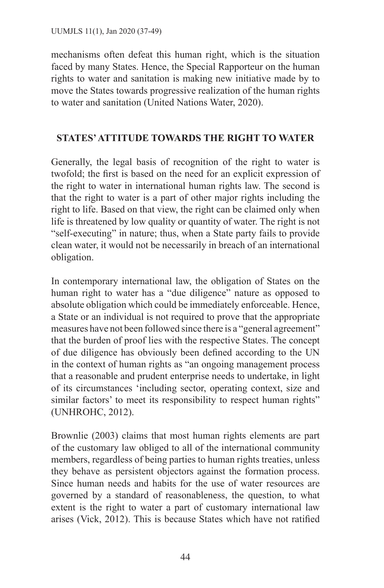mechanisms often defeat this human right, which is the situation faced by many States. Hence, the Special Rapporteur on the human rights to water and sanitation is making new initiative made by to move the States towards progressive realization of the human rights to water and sanitation (United Nations Water, 2020).

## **STATES' ATTITUDE TOWARDS THE RIGHT TO WATER**

Generally, the legal basis of recognition of the right to water is twofold; the first is based on the need for an explicit expression of the right to water in international human rights law. The second is that the right to water is a part of other major rights including the right to life. Based on that view, the right can be claimed only when life is threatened by low quality or quantity of water. The right is not "self-executing" in nature; thus, when a State party fails to provide clean water, it would not be necessarily in breach of an international obligation.

In contemporary international law, the obligation of States on the human right to water has a "due diligence" nature as opposed to absolute obligation which could be immediately enforceable. Hence, a State or an individual is not required to prove that the appropriate measures have not been followed since there is a "general agreement" that the burden of proof lies with the respective States. The concept of due diligence has obviously been defined according to the UN in the context of human rights as "an ongoing management process that a reasonable and prudent enterprise needs to undertake, in light of its circumstances 'including sector, operating context, size and similar factors' to meet its responsibility to respect human rights" (UNHROHC, 2012).

Brownlie (2003) claims that most human rights elements are part of the customary law obliged to all of the international community members, regardless of being parties to human rights treaties, unless they behave as persistent objectors against the formation process. Since human needs and habits for the use of water resources are governed by a standard of reasonableness, the question, to what extent is the right to water a part of customary international law arises (Vick, 2012). This is because States which have not ratified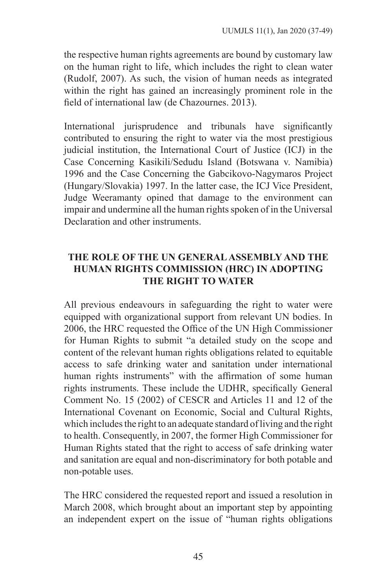the respective human rights agreements are bound by customary law on the human right to life, which includes the right to clean water (Rudolf, 2007). As such, the vision of human needs as integrated within the right has gained an increasingly prominent role in the field of international law (de Chazournes. 2013).

International jurisprudence and tribunals have significantly contributed to ensuring the right to water via the most prestigious judicial institution, the International Court of Justice (ICJ) in the Case Concerning Kasikili/Sedudu Island (Botswana v. Namibia) 1996 and the Case Concerning the Gabcikovo-Nagymaros Project (Hungary/Slovakia) 1997. In the latter case, the ICJ Vice President, Judge Weeramanty opined that damage to the environment can impair and undermine all the human rights spoken of in the Universal Declaration and other instruments.

# **THE ROLE OF THE UN GENERAL ASSEMBLY AND THE HUMAN RIGHTS COMMISSION (HRC) IN ADOPTING THE RIGHT TO WATER**

All previous endeavours in safeguarding the right to water were equipped with organizational support from relevant UN bodies. In 2006, the HRC requested the Office of the UN High Commissioner for Human Rights to submit "a detailed study on the scope and content of the relevant human rights obligations related to equitable access to safe drinking water and sanitation under international human rights instruments" with the affirmation of some human rights instruments. These include the UDHR, specifically General Comment No. 15 (2002) of CESCR and Articles 11 and 12 of the International Covenant on Economic, Social and Cultural Rights, which includes the right to an adequate standard of living and the right to health. Consequently, in 2007, the former High Commissioner for Human Rights stated that the right to access of safe drinking water and sanitation are equal and non-discriminatory for both potable and non-potable uses.

The HRC considered the requested report and issued a resolution in March 2008, which brought about an important step by appointing an independent expert on the issue of "human rights obligations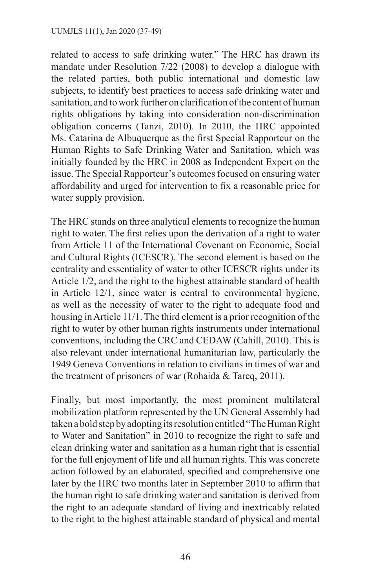related to access to safe drinking water." The HRC has drawn its mandate under Resolution 7/22 (2008) to develop a dialogue with the related parties, both public international and domestic law subjects, to identify best practices to access safe drinking water and sanitation, and to work further on clarification of the content of human rights obligations by taking into consideration non-discrimination obligation concerns (Tanzi, 2010). In 2010, the HRC appointed Ms. Catarina de Albuquerque as the first Special Rapporteur on the Human Rights to Safe Drinking Water and Sanitation, which was initially founded by the HRC in 2008 as Independent Expert on the issue. The Special Rapporteur's outcomes focused on ensuring water affordability and urged for intervention to fix a reasonable price for water supply provision.

The HRC stands on three analytical elements to recognize the human right to water. The first relies upon the derivation of a right to water from Article 11 of the International Covenant on Economic, Social and Cultural Rights (ICESCR). The second element is based on the centrality and essentiality of water to other ICESCR rights under its Article 1/2, and the right to the highest attainable standard of health in Article 12/1, since water is central to environmental hygiene, as well as the necessity of water to the right to adequate food and housing in Article 11/1. The third element is a prior recognition of the right to water by other human rights instruments under international conventions, including the CRC and CEDAW (Cahill, 2010). This is also relevant under international humanitarian law, particularly the 1949 Geneva Conventions in relation to civilians in times of war and the treatment of prisoners of war (Rohaida & Tareq, 2011).

Finally, but most importantly, the most prominent multilateral mobilization platform represented by the UN General Assembly had taken a bold step by adopting its resolution entitled "The Human Right to Water and Sanitation" in 2010 to recognize the right to safe and clean drinking water and sanitation as a human right that is essential for the full enjoyment of life and all human rights. This was concrete action followed by an elaborated, specified and comprehensive one later by the HRC two months later in September 2010 to affirm that the human right to safe drinking water and sanitation is derived from the right to an adequate standard of living and inextricably related to the right to the highest attainable standard of physical and mental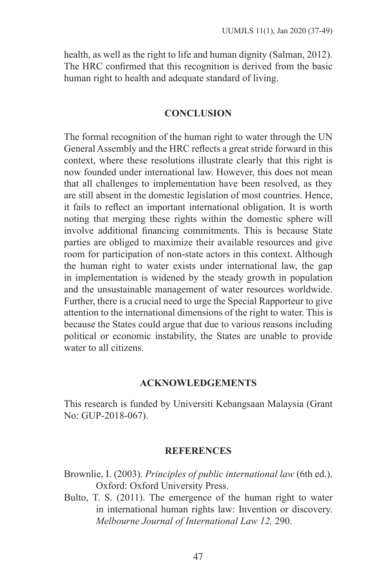health, as well as the right to life and human dignity (Salman, 2012). The HRC confirmed that this recognition is derived from the basic human right to health and adequate standard of living.

### **CONCLUSION**

The formal recognition of the human right to water through the UN General Assembly and the HRC reflects a great stride forward in this context, where these resolutions illustrate clearly that this right is now founded under international law. However, this does not mean that all challenges to implementation have been resolved, as they are still absent in the domestic legislation of most countries. Hence, it fails to reflect an important international obligation. It is worth noting that merging these rights within the domestic sphere will involve additional financing commitments. This is because State parties are obliged to maximize their available resources and give room for participation of non-state actors in this context. Although the human right to water exists under international law, the gap in implementation is widened by the steady growth in population and the unsustainable management of water resources worldwide. Further, there is a crucial need to urge the Special Rapporteur to give attention to the international dimensions of the right to water. This is because the States could argue that due to various reasons including political or economic instability, the States are unable to provide water to all citizens.

### **ACKNOWLEDGEMENTS**

This research is funded by Universiti Kebangsaan Malaysia (Grant No: GUP-2018-067).

#### **REFERENCES**

Brownlie, I. (2003). *Principles of public international law* (6th ed.). Oxford: Oxford University Press.

Bulto, T. S. (2011). The emergence of the human right to water in international human rights law: Invention or discovery. *Melbourne Journal of International Law 12,* 290.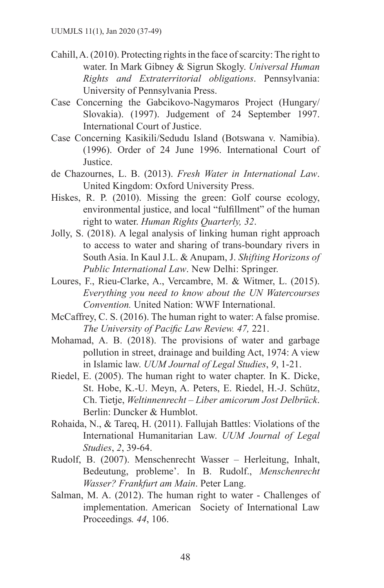- Cahill, A. (2010). Protecting rights in the face of scarcity: The right to water. In Mark Gibney & Sigrun Skogly. *Universal Human Rights and Extraterritorial obligations*. Pennsylvania: University of Pennsylvania Press.
- Case Concerning the Gabcikovo-Nagymaros Project (Hungary/ Slovakia). (1997). Judgement of 24 September 1997. International Court of Justice.
- Case Concerning Kasikili/Sedudu Island (Botswana v. Namibia). (1996). Order of 24 June 1996. International Court of Justice.
- de Chazournes, L. B. (2013). *Fresh Water in International Law*. United Kingdom: Oxford University Press.
- Hiskes, R. P. (2010). Missing the green: Golf course ecology, environmental justice, and local "fulfillment" of the human right to water. *Human Rights Quarterly, 32*.
- Jolly, S. (2018). A legal analysis of linking human right approach to access to water and sharing of trans-boundary rivers in South Asia. In Kaul J.L. & Anupam, J. *Shifting Horizons of Public International Law*. New Delhi: Springer.
- Loures, F., Rieu-Clarke, A., Vercambre, M. & Witmer, L. (2015). *Everything you need to know about the UN Watercourses Convention.* United Nation: WWF International.
- McCaffrey, C. S. (2016). The human right to water: A false promise. *The University of Pacific Law Review. 47,* 221.
- Mohamad, A. B. (2018). The provisions of water and garbage pollution in street, drainage and building Act, 1974: A view in Islamic law. *UUM Journal of Legal Studies*, *9*, 1-21.
- Riedel, E. (2005). The human right to water chapter. In K. Dicke, St. Hobe, K.-U. Meyn, A. Peters, E. Riedel, H.-J. Schütz, Ch. Tietje, *Weltinnenrecht – Liber amicorum Jost Delbrück*. Berlin: Duncker & Humblot.
- Rohaida, N., & Tareq, H. (2011). Fallujah Battles: Violations of the International Humanitarian Law. *UUM Journal of Legal Studies*, *2*, 39-64.
- Rudolf, B. (2007). Menschenrecht Wasser Herleitung, Inhalt, Bedeutung, probleme'. In B. Rudolf., *Menschenrecht Wasser? Frankfurt am Main*. Peter Lang.
- Salman, M. A. (2012). The human right to water Challenges of implementation. American Society of International Law Proceedings*. 44*, 106.